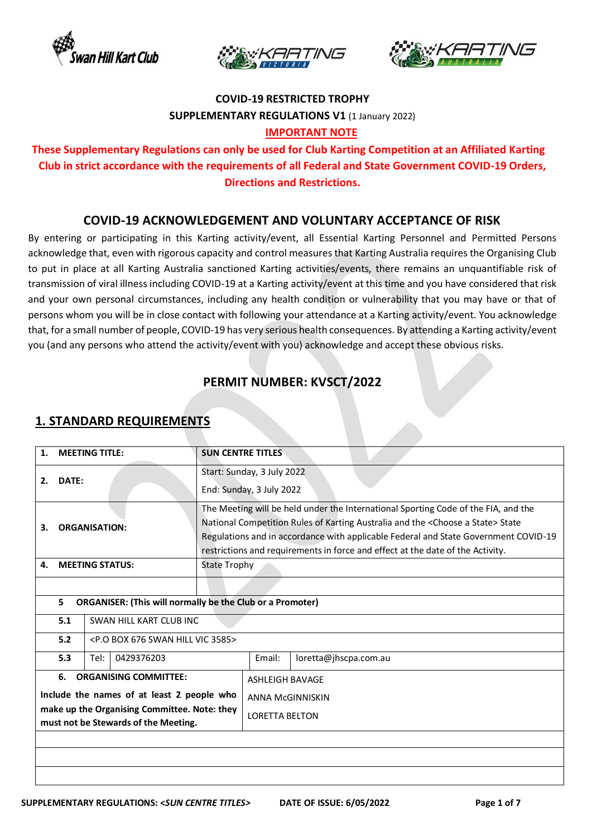





#### **COVID-19 RESTRICTED TROPHY SUPPLEMENTARY REGULATIONS V1** (1 January 2022) **IMPORTANT NOTE**

## **These Supplementary Regulations can only be used for Club Karting Competition at an Affiliated Karting Club in strict accordance with the requirements of all Federal and State Government COVID-19 Orders, Directions and Restrictions.**

#### **COVID-19 ACKNOWLEDGEMENT AND VOLUNTARY ACCEPTANCE OF RISK**

By entering or participating in this Karting activity/event, all Essential Karting Personnel and Permitted Persons acknowledge that, even with rigorous capacity and control measures that Karting Australia requires the Organising Club to put in place at all Karting Australia sanctioned Karting activities/events, there remains an unquantifiable risk of transmission of viral illness including COVID-19 at a Karting activity/event at this time and you have considered that risk and your own personal circumstances, including any health condition or vulnerability that you may have or that of persons whom you will be in close contact with following your attendance at a Karting activity/event. You acknowledge that, for a small number of people, COVID-19 has very serious health consequences. By attending a Karting activity/event you (and any persons who attend the activity/event with you) acknowledge and accept these obvious risks.

## **PERMIT NUMBER: KVSCT/2022**

| The Meeting will be held under the International Sporting Code of the FIA, and the<br>National Competition Rules of Karting Australia and the <choose a="" state=""> State<br/>Regulations and in accordance with applicable Federal and State Government COVID-19<br/>restrictions and requirements in force and effect at the date of the Activity.</choose> |  |  |
|----------------------------------------------------------------------------------------------------------------------------------------------------------------------------------------------------------------------------------------------------------------------------------------------------------------------------------------------------------------|--|--|
|                                                                                                                                                                                                                                                                                                                                                                |  |  |
|                                                                                                                                                                                                                                                                                                                                                                |  |  |
|                                                                                                                                                                                                                                                                                                                                                                |  |  |
|                                                                                                                                                                                                                                                                                                                                                                |  |  |
|                                                                                                                                                                                                                                                                                                                                                                |  |  |
|                                                                                                                                                                                                                                                                                                                                                                |  |  |
|                                                                                                                                                                                                                                                                                                                                                                |  |  |
|                                                                                                                                                                                                                                                                                                                                                                |  |  |
|                                                                                                                                                                                                                                                                                                                                                                |  |  |
| <b>ANNA McGINNISKIN</b>                                                                                                                                                                                                                                                                                                                                        |  |  |
|                                                                                                                                                                                                                                                                                                                                                                |  |  |
|                                                                                                                                                                                                                                                                                                                                                                |  |  |
|                                                                                                                                                                                                                                                                                                                                                                |  |  |
|                                                                                                                                                                                                                                                                                                                                                                |  |  |
|                                                                                                                                                                                                                                                                                                                                                                |  |  |

## **1. STANDARD REQUIREMENTS**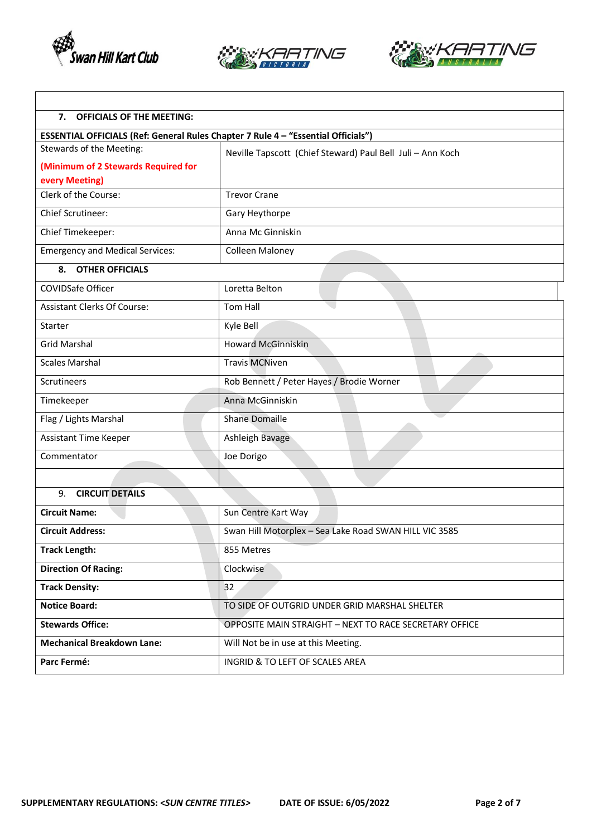

 $\mathsf I$ 





٦

| <b>OFFICIALS OF THE MEETING:</b><br>7.                                            |                                                            |  |  |
|-----------------------------------------------------------------------------------|------------------------------------------------------------|--|--|
| ESSENTIAL OFFICIALS (Ref: General Rules Chapter 7 Rule 4 - "Essential Officials") |                                                            |  |  |
| Stewards of the Meeting:                                                          | Neville Tapscott (Chief Steward) Paul Bell Juli - Ann Koch |  |  |
| (Minimum of 2 Stewards Required for                                               |                                                            |  |  |
| every Meeting)                                                                    |                                                            |  |  |
| Clerk of the Course:                                                              | <b>Trevor Crane</b>                                        |  |  |
| Chief Scrutineer:                                                                 | Gary Heythorpe                                             |  |  |
| Chief Timekeeper:                                                                 | Anna Mc Ginniskin                                          |  |  |
| <b>Emergency and Medical Services:</b>                                            | Colleen Maloney                                            |  |  |
| 8.<br><b>OTHER OFFICIALS</b>                                                      |                                                            |  |  |
| <b>COVIDSafe Officer</b>                                                          | Loretta Belton                                             |  |  |
| <b>Assistant Clerks Of Course:</b>                                                | <b>Tom Hall</b>                                            |  |  |
| Starter                                                                           | Kyle Bell                                                  |  |  |
| <b>Grid Marshal</b>                                                               | <b>Howard McGinniskin</b>                                  |  |  |
| <b>Scales Marshal</b>                                                             | <b>Travis MCNiven</b>                                      |  |  |
| Scrutineers                                                                       | Rob Bennett / Peter Hayes / Brodie Worner                  |  |  |
| Timekeeper                                                                        | Anna McGinniskin                                           |  |  |
| Flag / Lights Marshal                                                             | Shane Domaille                                             |  |  |
| Assistant Time Keeper                                                             | Ashleigh Bavage                                            |  |  |
| Commentator                                                                       | Joe Dorigo                                                 |  |  |
|                                                                                   |                                                            |  |  |
| <b>CIRCUIT DETAILS</b><br>9.                                                      |                                                            |  |  |
| <b>Circuit Name:</b>                                                              | Sun Centre Kart Way                                        |  |  |
| <b>Circuit Address:</b>                                                           | Swan Hill Motorplex - Sea Lake Road SWAN HILL VIC 3585     |  |  |
| <b>Track Length:</b>                                                              | 855 Metres                                                 |  |  |
| <b>Direction Of Racing:</b>                                                       | Clockwise                                                  |  |  |
| <b>Track Density:</b>                                                             | 32                                                         |  |  |
| <b>Notice Board:</b>                                                              | TO SIDE OF OUTGRID UNDER GRID MARSHAL SHELTER              |  |  |
| <b>Stewards Office:</b>                                                           | OPPOSITE MAIN STRAIGHT - NEXT TO RACE SECRETARY OFFICE     |  |  |
| <b>Mechanical Breakdown Lane:</b>                                                 | Will Not be in use at this Meeting.                        |  |  |
| Parc Fermé:                                                                       | INGRID & TO LEFT OF SCALES AREA                            |  |  |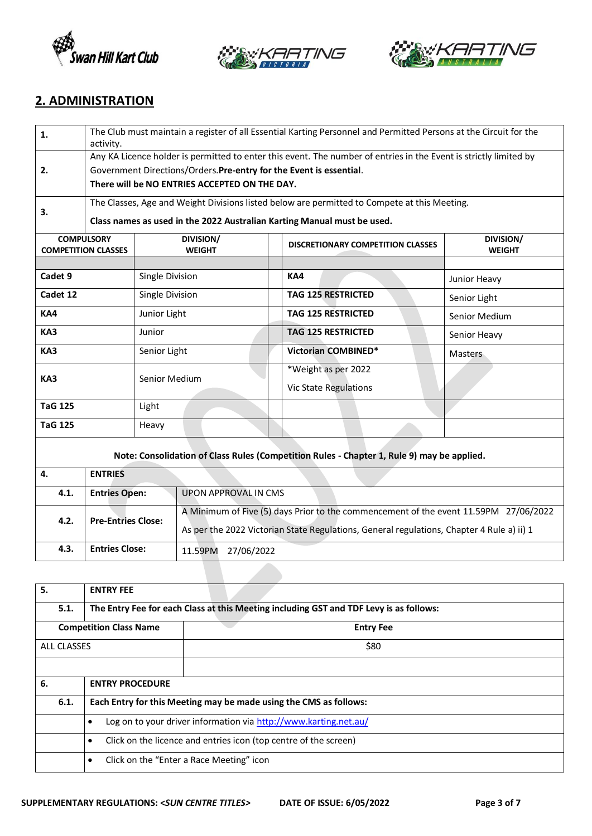





#### **2. ADMINISTRATION**

| 1.                      | The Club must maintain a register of all Essential Karting Personnel and Permitted Persons at the Circuit for the<br>activity.                                                           |                 |                                                                                                                                                                                   |                                                     |                                                                                            |                            |
|-------------------------|------------------------------------------------------------------------------------------------------------------------------------------------------------------------------------------|-----------------|-----------------------------------------------------------------------------------------------------------------------------------------------------------------------------------|-----------------------------------------------------|--------------------------------------------------------------------------------------------|----------------------------|
| 2.                      | Any KA Licence holder is permitted to enter this event. The number of entries in the Event is strictly limited by<br>Government Directions/Orders. Pre-entry for the Event is essential. |                 |                                                                                                                                                                                   |                                                     |                                                                                            |                            |
|                         | There will be NO ENTRIES ACCEPTED ON THE DAY.                                                                                                                                            |                 |                                                                                                                                                                                   |                                                     |                                                                                            |                            |
| 3.                      | The Classes, Age and Weight Divisions listed below are permitted to Compete at this Meeting.<br>Class names as used in the 2022 Australian Karting Manual must be used.                  |                 |                                                                                                                                                                                   |                                                     |                                                                                            |                            |
|                         | <b>COMPULSORY</b><br><b>COMPETITION CLASSES</b>                                                                                                                                          |                 | DIVISION/<br><b>WEIGHT</b>                                                                                                                                                        |                                                     | <b>DISCRETIONARY COMPETITION CLASSES</b>                                                   | DIVISION/<br><b>WEIGHT</b> |
| Cadet 9                 |                                                                                                                                                                                          | Single Division |                                                                                                                                                                                   |                                                     | KA4                                                                                        | Junior Heavy               |
| Cadet 12                |                                                                                                                                                                                          | Single Division |                                                                                                                                                                                   |                                                     | <b>TAG 125 RESTRICTED</b>                                                                  | Senior Light               |
| KA4                     | Junior Light                                                                                                                                                                             |                 |                                                                                                                                                                                   |                                                     | <b>TAG 125 RESTRICTED</b>                                                                  | Senior Medium              |
| KA3                     | Junior                                                                                                                                                                                   |                 |                                                                                                                                                                                   |                                                     | TAG 125 RESTRICTED                                                                         | Senior Heavy               |
| KA3                     | Senior Light                                                                                                                                                                             |                 |                                                                                                                                                                                   |                                                     | Victorian COMBINED*                                                                        | <b>Masters</b>             |
| KA3<br>Senior Medium    |                                                                                                                                                                                          |                 |                                                                                                                                                                                   | *Weight as per 2022<br><b>Vic State Regulations</b> |                                                                                            |                            |
| <b>TaG 125</b><br>Light |                                                                                                                                                                                          |                 |                                                                                                                                                                                   |                                                     |                                                                                            |                            |
| <b>TaG 125</b><br>Heavy |                                                                                                                                                                                          |                 |                                                                                                                                                                                   |                                                     |                                                                                            |                            |
|                         |                                                                                                                                                                                          |                 |                                                                                                                                                                                   |                                                     | Note: Consolidation of Class Rules (Competition Rules - Chapter 1, Rule 9) may be applied. |                            |
| 4.                      | <b>ENTRIES</b>                                                                                                                                                                           |                 |                                                                                                                                                                                   |                                                     |                                                                                            |                            |
| 4.1.                    | <b>Entries Open:</b>                                                                                                                                                                     |                 | <b>UPON APPROVAL IN CMS</b>                                                                                                                                                       |                                                     |                                                                                            |                            |
| 4.2.                    | <b>Pre-Entries Close:</b>                                                                                                                                                                |                 | A Minimum of Five (5) days Prior to the commencement of the event 11.59PM 27/06/2022<br>As per the 2022 Victorian State Regulations, General regulations, Chapter 4 Rule a) ii) 1 |                                                     |                                                                                            |                            |
| 4.3.                    | <b>Entries Close:</b>                                                                                                                                                                    |                 | 11.59PM 27/06/2022                                                                                                                                                                |                                                     |                                                                                            |                            |
|                         |                                                                                                                                                                                          |                 |                                                                                                                                                                                   |                                                     |                                                                                            |                            |

| 5.                 | <b>ENTRY FEE</b>                                                                       |                                          |  |  |  |  |
|--------------------|----------------------------------------------------------------------------------------|------------------------------------------|--|--|--|--|
| 5.1.               | The Entry Fee for each Class at this Meeting including GST and TDF Levy is as follows: |                                          |  |  |  |  |
|                    | <b>Competition Class Name</b>                                                          | <b>Entry Fee</b>                         |  |  |  |  |
| <b>ALL CLASSES</b> |                                                                                        | \$80                                     |  |  |  |  |
|                    |                                                                                        |                                          |  |  |  |  |
| 6.                 | <b>ENTRY PROCEDURE</b>                                                                 |                                          |  |  |  |  |
| 6.1.               | Each Entry for this Meeting may be made using the CMS as follows:                      |                                          |  |  |  |  |
|                    | Log on to your driver information via http://www.karting.net.au/<br>$\bullet$          |                                          |  |  |  |  |
|                    | Click on the licence and entries icon (top centre of the screen)<br>$\bullet$          |                                          |  |  |  |  |
|                    | $\bullet$                                                                              | Click on the "Enter a Race Meeting" icon |  |  |  |  |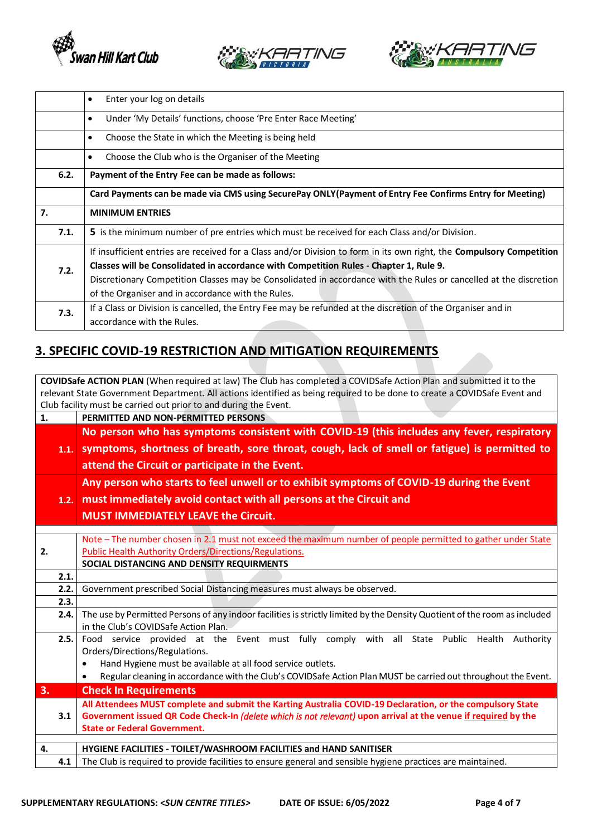





|      | Enter your log on details<br>$\bullet$                                                                                       |  |  |  |  |
|------|------------------------------------------------------------------------------------------------------------------------------|--|--|--|--|
|      | Under 'My Details' functions, choose 'Pre Enter Race Meeting'<br>$\bullet$                                                   |  |  |  |  |
|      | Choose the State in which the Meeting is being held<br>$\bullet$                                                             |  |  |  |  |
|      | Choose the Club who is the Organiser of the Meeting<br>$\bullet$                                                             |  |  |  |  |
| 6.2. | Payment of the Entry Fee can be made as follows:                                                                             |  |  |  |  |
|      | Card Payments can be made via CMS using SecurePay ONLY (Payment of Entry Fee Confirms Entry for Meeting)                     |  |  |  |  |
| 7.   | <b>MINIMUM ENTRIES</b>                                                                                                       |  |  |  |  |
| 7.1. | 5 is the minimum number of pre entries which must be received for each Class and/or Division.                                |  |  |  |  |
|      | If insufficient entries are received for a Class and/or Division to form in its own right, the <b>Compulsory Competition</b> |  |  |  |  |
| 7.2. | Classes will be Consolidated in accordance with Competition Rules - Chapter 1, Rule 9.                                       |  |  |  |  |
|      | Discretionary Competition Classes may be Consolidated in accordance with the Rules or cancelled at the discretion            |  |  |  |  |
|      | of the Organiser and in accordance with the Rules.                                                                           |  |  |  |  |
| 7.3. | If a Class or Division is cancelled, the Entry Fee may be refunded at the discretion of the Organiser and in                 |  |  |  |  |
|      | accordance with the Rules.                                                                                                   |  |  |  |  |

## **3. SPECIFIC COVID-19 RESTRICTION AND MITIGATION REQUIREMENTS**

**COVIDSafe ACTION PLAN** (When required at law) The Club has completed a COVIDSafe Action Plan and submitted it to the relevant State Government Department. All actions identified as being required to be done to create a COVIDSafe Event and Club facility must be carried out prior to and during the Event. **1. PERMITTED AND NON-PERMITTED PERSONS**

|    | 1.1.         | No person who has symptoms consistent with COVID-19 (this includes any fever, respiratory<br>symptoms, shortness of breath, sore throat, cough, lack of smell or fatigue) is permitted to<br>attend the Circuit or participate in the Event.                                                                      |
|----|--------------|-------------------------------------------------------------------------------------------------------------------------------------------------------------------------------------------------------------------------------------------------------------------------------------------------------------------|
|    | 1.2.         | Any person who starts to feel unwell or to exhibit symptoms of COVID-19 during the Event<br>must immediately avoid contact with all persons at the Circuit and<br><b>MUST IMMEDIATELY LEAVE the Circuit.</b>                                                                                                      |
| 2. |              | Note - The number chosen in 2.1 must not exceed the maximum number of people permitted to gather under State<br><b>Public Health Authority Orders/Directions/Regulations.</b><br>SOCIAL DISTANCING AND DENSITY REQUIRMENTS                                                                                        |
|    | 2.1.<br>2.2. | Government prescribed Social Distancing measures must always be observed.                                                                                                                                                                                                                                         |
|    | 2.3.         |                                                                                                                                                                                                                                                                                                                   |
|    | 2.4.         | The use by Permitted Persons of any indoor facilities is strictly limited by the Density Quotient of the room as included<br>in the Club's COVIDSafe Action Plan.                                                                                                                                                 |
|    | 2.5.         | Food service provided at the Event must fully comply with all State Public Health<br>Authority<br>Orders/Directions/Regulations.<br>Hand Hygiene must be available at all food service outlets.<br>Regular cleaning in accordance with the Club's COVIDSafe Action Plan MUST be carried out throughout the Event. |
| 3. |              | <b>Check In Requirements</b>                                                                                                                                                                                                                                                                                      |
|    | 3.1          | All Attendees MUST complete and submit the Karting Australia COVID-19 Declaration, or the compulsory State<br>Government issued QR Code Check-In (delete which is not relevant) upon arrival at the venue if required by the<br><b>State or Federal Government.</b>                                               |
| 4. |              | HYGIENE FACILITIES - TOILET/WASHROOM FACILITIES and HAND SANITISER                                                                                                                                                                                                                                                |

**4.1** The Club is required to provide facilities to ensure general and sensible hygiene practices are maintained.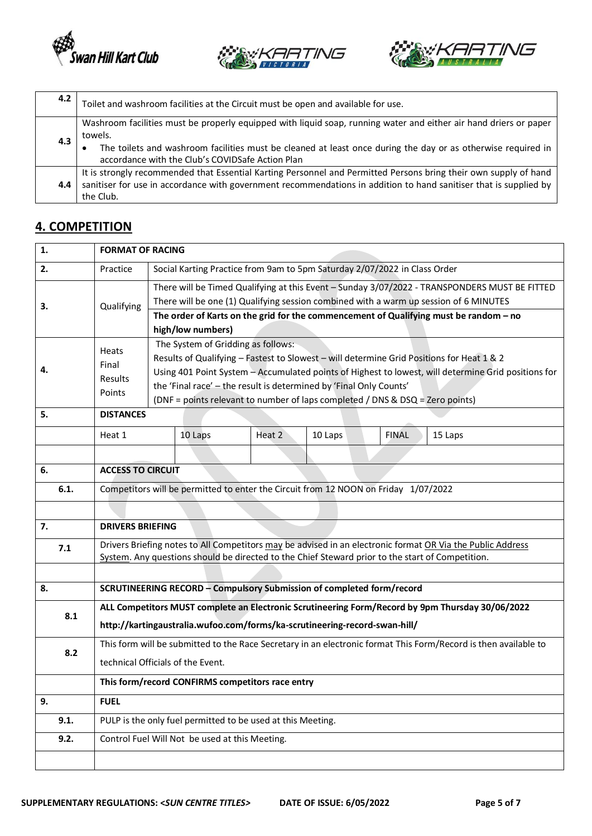





| 4.2 | Toilet and washroom facilities at the Circuit must be open and available for use.                                                                                                                                                                                                                |
|-----|--------------------------------------------------------------------------------------------------------------------------------------------------------------------------------------------------------------------------------------------------------------------------------------------------|
| 4.3 | Washroom facilities must be properly equipped with liquid soap, running water and either air hand driers or paper<br>towels.<br>The toilets and washroom facilities must be cleaned at least once during the day or as otherwise required in<br>accordance with the Club's COVIDSafe Action Plan |
| 4.4 | It is strongly recommended that Essential Karting Personnel and Permitted Persons bring their own supply of hand<br>sanitiser for use in accordance with government recommendations in addition to hand sanitiser that is supplied by<br>the Club.                                               |

## **4. COMPETITION**

| 1.   | <b>FORMAT OF RACING</b>                                                                                                                                                                                        |                                                                                                                                                                                                                                                                                                                                                                                               |                                                |                                                             |         |              |                                                                                       |
|------|----------------------------------------------------------------------------------------------------------------------------------------------------------------------------------------------------------------|-----------------------------------------------------------------------------------------------------------------------------------------------------------------------------------------------------------------------------------------------------------------------------------------------------------------------------------------------------------------------------------------------|------------------------------------------------|-------------------------------------------------------------|---------|--------------|---------------------------------------------------------------------------------------|
| 2.   | Practice                                                                                                                                                                                                       | Social Karting Practice from 9am to 5pm Saturday 2/07/2022 in Class Order                                                                                                                                                                                                                                                                                                                     |                                                |                                                             |         |              |                                                                                       |
| 3.   | Qualifying                                                                                                                                                                                                     | There will be Timed Qualifying at this Event - Sunday 3/07/2022 - TRANSPONDERS MUST BE FITTED<br>There will be one (1) Qualifying session combined with a warm up session of 6 MINUTES                                                                                                                                                                                                        |                                                |                                                             |         |              |                                                                                       |
|      |                                                                                                                                                                                                                |                                                                                                                                                                                                                                                                                                                                                                                               | high/low numbers)                              |                                                             |         |              | The order of Karts on the grid for the commencement of Qualifying must be random - no |
| 4.   | Heats<br>Final<br>Results<br>Points                                                                                                                                                                            | The System of Gridding as follows:<br>Results of Qualifying - Fastest to Slowest - will determine Grid Positions for Heat 1 & 2<br>Using 401 Point System - Accumulated points of Highest to lowest, will determine Grid positions for<br>the 'Final race' - the result is determined by 'Final Only Counts'<br>(DNF = points relevant to number of laps completed / DNS & DSQ = Zero points) |                                                |                                                             |         |              |                                                                                       |
| 5.   | <b>DISTANCES</b>                                                                                                                                                                                               |                                                                                                                                                                                                                                                                                                                                                                                               |                                                |                                                             |         |              |                                                                                       |
|      | Heat 1                                                                                                                                                                                                         |                                                                                                                                                                                                                                                                                                                                                                                               | 10 Laps                                        | Heat 2                                                      | 10 Laps | <b>FINAL</b> | 15 Laps                                                                               |
|      |                                                                                                                                                                                                                |                                                                                                                                                                                                                                                                                                                                                                                               |                                                |                                                             |         |              |                                                                                       |
| 6.   | <b>ACCESS TO CIRCUIT</b>                                                                                                                                                                                       |                                                                                                                                                                                                                                                                                                                                                                                               |                                                |                                                             |         |              |                                                                                       |
| 6.1. | Competitors will be permitted to enter the Circuit from 12 NOON on Friday 1/07/2022                                                                                                                            |                                                                                                                                                                                                                                                                                                                                                                                               |                                                |                                                             |         |              |                                                                                       |
|      |                                                                                                                                                                                                                |                                                                                                                                                                                                                                                                                                                                                                                               |                                                |                                                             |         |              |                                                                                       |
| 7.   | <b>DRIVERS BRIEFING</b>                                                                                                                                                                                        |                                                                                                                                                                                                                                                                                                                                                                                               |                                                |                                                             |         |              |                                                                                       |
| 7.1  | Drivers Briefing notes to All Competitors may be advised in an electronic format OR Via the Public Address<br>System. Any questions should be directed to the Chief Steward prior to the start of Competition. |                                                                                                                                                                                                                                                                                                                                                                                               |                                                |                                                             |         |              |                                                                                       |
|      |                                                                                                                                                                                                                |                                                                                                                                                                                                                                                                                                                                                                                               |                                                |                                                             |         |              |                                                                                       |
| 8.   | SCRUTINEERING RECORD - Compulsory Submission of completed form/record                                                                                                                                          |                                                                                                                                                                                                                                                                                                                                                                                               |                                                |                                                             |         |              |                                                                                       |
| 8.1  | ALL Competitors MUST complete an Electronic Scrutineering Form/Record by 9pm Thursday 30/06/2022<br>http://kartingaustralia.wufoo.com/forms/ka-scrutineering-record-swan-hill/                                 |                                                                                                                                                                                                                                                                                                                                                                                               |                                                |                                                             |         |              |                                                                                       |
| 8.2  | This form will be submitted to the Race Secretary in an electronic format This Form/Record is then available to<br>technical Officials of the Event.                                                           |                                                                                                                                                                                                                                                                                                                                                                                               |                                                |                                                             |         |              |                                                                                       |
|      |                                                                                                                                                                                                                |                                                                                                                                                                                                                                                                                                                                                                                               |                                                | This form/record CONFIRMS competitors race entry            |         |              |                                                                                       |
| 9.   | <b>FUEL</b>                                                                                                                                                                                                    |                                                                                                                                                                                                                                                                                                                                                                                               |                                                |                                                             |         |              |                                                                                       |
| 9.1. |                                                                                                                                                                                                                |                                                                                                                                                                                                                                                                                                                                                                                               |                                                | PULP is the only fuel permitted to be used at this Meeting. |         |              |                                                                                       |
| 9.2. |                                                                                                                                                                                                                |                                                                                                                                                                                                                                                                                                                                                                                               | Control Fuel Will Not be used at this Meeting. |                                                             |         |              |                                                                                       |
|      |                                                                                                                                                                                                                |                                                                                                                                                                                                                                                                                                                                                                                               |                                                |                                                             |         |              |                                                                                       |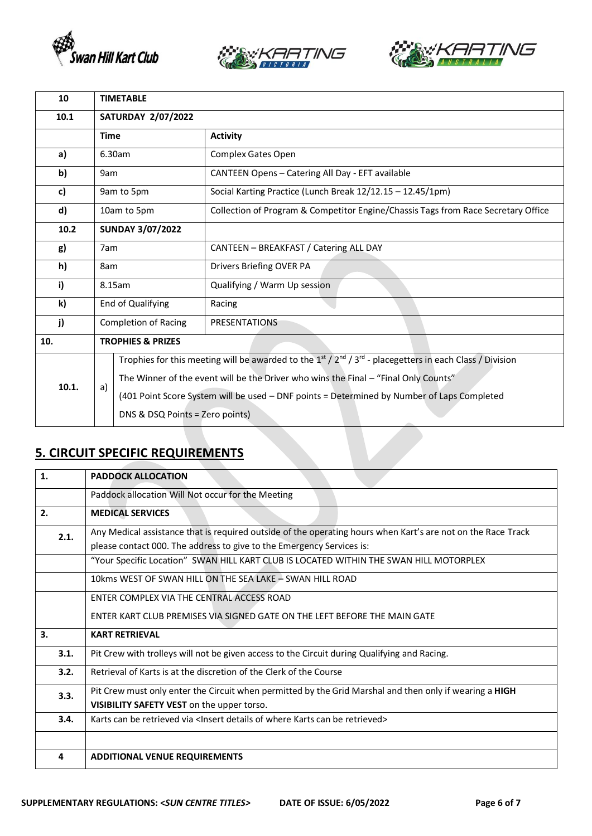





| 10    | <b>TIMETABLE</b>                                    |                                                                                                                 |                                                                                   |  |  |
|-------|-----------------------------------------------------|-----------------------------------------------------------------------------------------------------------------|-----------------------------------------------------------------------------------|--|--|
| 10.1  | <b>SATURDAY 2/07/2022</b>                           |                                                                                                                 |                                                                                   |  |  |
|       | <b>Activity</b><br><b>Time</b>                      |                                                                                                                 |                                                                                   |  |  |
| a)    |                                                     | 6.30am                                                                                                          | <b>Complex Gates Open</b>                                                         |  |  |
| b)    | 9am                                                 |                                                                                                                 | CANTEEN Opens - Catering All Day - EFT available                                  |  |  |
| c)    |                                                     | 9am to 5pm                                                                                                      | Social Karting Practice (Lunch Break 12/12.15 - 12.45/1pm)                        |  |  |
| d)    | 10am to 5pm                                         |                                                                                                                 | Collection of Program & Competitor Engine/Chassis Tags from Race Secretary Office |  |  |
| 10.2  |                                                     | <b>SUNDAY 3/07/2022</b>                                                                                         |                                                                                   |  |  |
| g)    | 7am                                                 |                                                                                                                 | CANTEEN - BREAKFAST / Catering ALL DAY                                            |  |  |
| h)    | 8am                                                 |                                                                                                                 | Drivers Briefing OVER PA                                                          |  |  |
| i)    | 8.15am                                              |                                                                                                                 | Qualifying / Warm Up session                                                      |  |  |
| k)    | End of Qualifying                                   |                                                                                                                 | Racing                                                                            |  |  |
| j)    | <b>Completion of Racing</b><br><b>PRESENTATIONS</b> |                                                                                                                 |                                                                                   |  |  |
| 10.   | <b>TROPHIES &amp; PRIZES</b>                        |                                                                                                                 |                                                                                   |  |  |
|       |                                                     | Trophies for this meeting will be awarded to the $1^{st}/2^{nd}/3^{rd}$ - placegetters in each Class / Division |                                                                                   |  |  |
| 10.1. | a)                                                  | The Winner of the event will be the Driver who wins the Final - "Final Only Counts"                             |                                                                                   |  |  |
|       |                                                     | (401 Point Score System will be used - DNF points = Determined by Number of Laps Completed                      |                                                                                   |  |  |
|       |                                                     | DNS & DSQ Points = Zero points)                                                                                 |                                                                                   |  |  |

# **5. CIRCUIT SPECIFIC REQUIREMENTS**

| 1.                                                                                                              | <b>PADDOCK ALLOCATION</b>                                                                                    |
|-----------------------------------------------------------------------------------------------------------------|--------------------------------------------------------------------------------------------------------------|
|                                                                                                                 | Paddock allocation Will Not occur for the Meeting                                                            |
| 2.                                                                                                              | <b>MEDICAL SERVICES</b>                                                                                      |
| 2.1.                                                                                                            | Any Medical assistance that is required outside of the operating hours when Kart's are not on the Race Track |
|                                                                                                                 | please contact 000. The address to give to the Emergency Services is:                                        |
|                                                                                                                 | "Your Specific Location" SWAN HILL KART CLUB IS LOCATED WITHIN THE SWAN HILL MOTORPLEX                       |
|                                                                                                                 | 10kms WEST OF SWAN HILL ON THE SEA LAKE - SWAN HILL ROAD                                                     |
|                                                                                                                 | ENTER COMPLEX VIA THE CENTRAL ACCESS ROAD                                                                    |
|                                                                                                                 | ENTER KART CLUB PREMISES VIA SIGNED GATE ON THE LEFT BEFORE THE MAIN GATE                                    |
| 3.                                                                                                              | <b>KART RETRIEVAL</b>                                                                                        |
| 3.1.                                                                                                            | Pit Crew with trolleys will not be given access to the Circuit during Qualifying and Racing.                 |
| 3.2.                                                                                                            | Retrieval of Karts is at the discretion of the Clerk of the Course                                           |
| Pit Crew must only enter the Circuit when permitted by the Grid Marshal and then only if wearing a HIGH<br>3.3. |                                                                                                              |
|                                                                                                                 | VISIBILITY SAFETY VEST on the upper torso.                                                                   |
| 3.4.                                                                                                            | Karts can be retrieved via <lnsert be="" can="" details="" karts="" of="" retrieved="" where=""></lnsert>    |
|                                                                                                                 |                                                                                                              |
| 4                                                                                                               | <b>ADDITIONAL VENUE REQUIREMENTS</b>                                                                         |